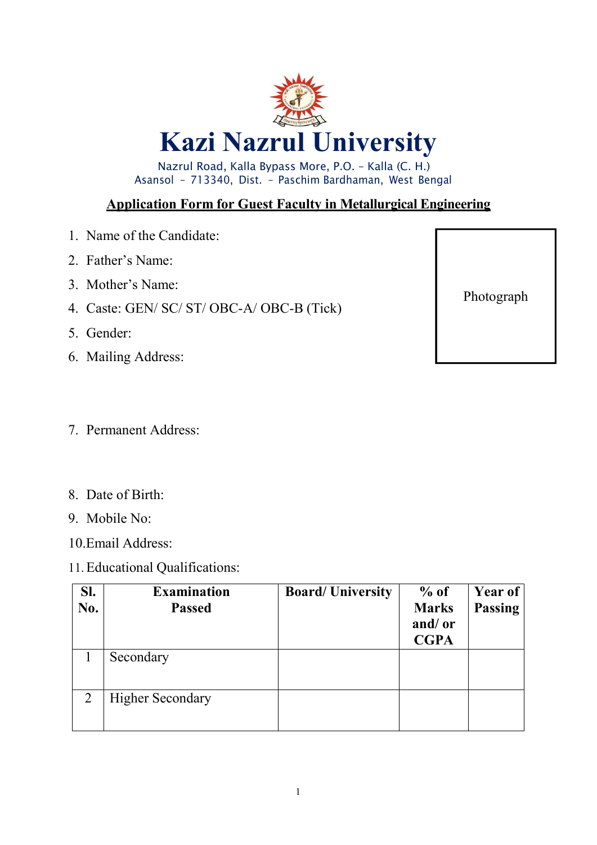

Nazrul Road, Kalla Bypass More, P.O. – Kalla (C. H.) Asansol – 713340, Dist. – Paschim Bardhaman, West Bengal

#### **Application Form for Guest Faculty in Metallurgical Engineering**

- 1. Name of the Candidate:
- 2. Father's Name:
- 3. Mother's Name:
- 4. Caste: GEN/ SC/ ST/ OBC-A/ OBC-B (Tick)
- 5. Gender:
- 6. Mailing Address:
- 7. Permanent Address:
- 8. Date of Birth:
- 9. Mobile No:
- 10.Email Address:
- 11. Educational Qualifications:

| SI.<br>No.     | <b>Examination</b><br><b>Passed</b> | <b>Board/University</b> | $%$ of<br><b>Marks</b><br>and/or<br><b>CGPA</b> | <b>Year of</b><br>Passing |
|----------------|-------------------------------------|-------------------------|-------------------------------------------------|---------------------------|
|                | Secondary                           |                         |                                                 |                           |
| $\overline{2}$ | <b>Higher Secondary</b>             |                         |                                                 |                           |

Photograph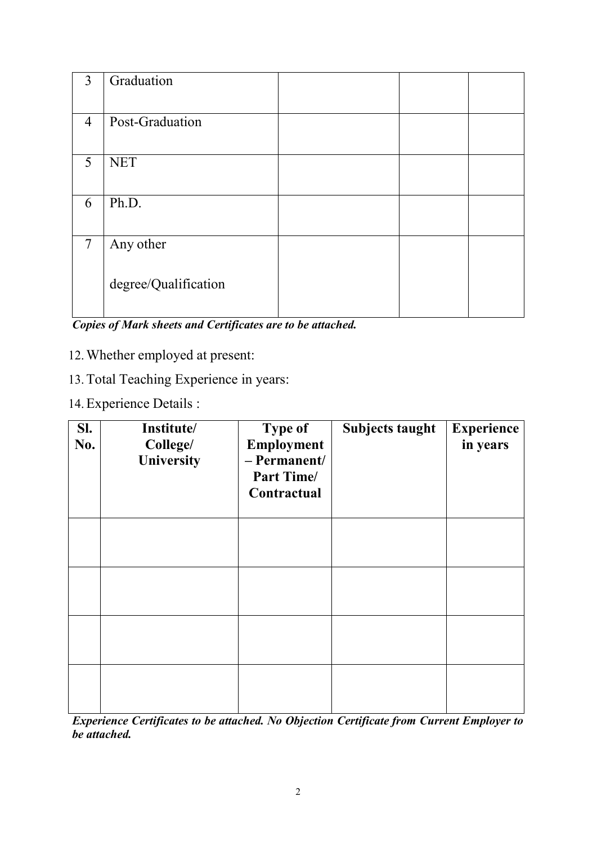| $\overline{3}$ | Graduation           |  |  |
|----------------|----------------------|--|--|
| $\overline{4}$ | Post-Graduation      |  |  |
| 5              | <b>NET</b>           |  |  |
| 6              | Ph.D.                |  |  |
| $\overline{7}$ | Any other            |  |  |
|                | degree/Qualification |  |  |

*Copies of Mark sheets and Certificates are to be attached.* 

- 12.Whether employed at present:
- 13. Total Teaching Experience in years:
- 14. Experience Details :

| Sl.<br>No. | Institute/<br>College/<br>University | <b>Type of</b><br>Employment<br>- Permanent/<br><b>Part Time/</b><br>Contractual | <b>Subjects taught</b> | <b>Experience</b><br>in years |
|------------|--------------------------------------|----------------------------------------------------------------------------------|------------------------|-------------------------------|
|            |                                      |                                                                                  |                        |                               |
|            |                                      |                                                                                  |                        |                               |
|            |                                      |                                                                                  |                        |                               |
|            |                                      |                                                                                  |                        |                               |

*Experience Certificates to be attached. No Objection Certificate from Current Employer to be attached.*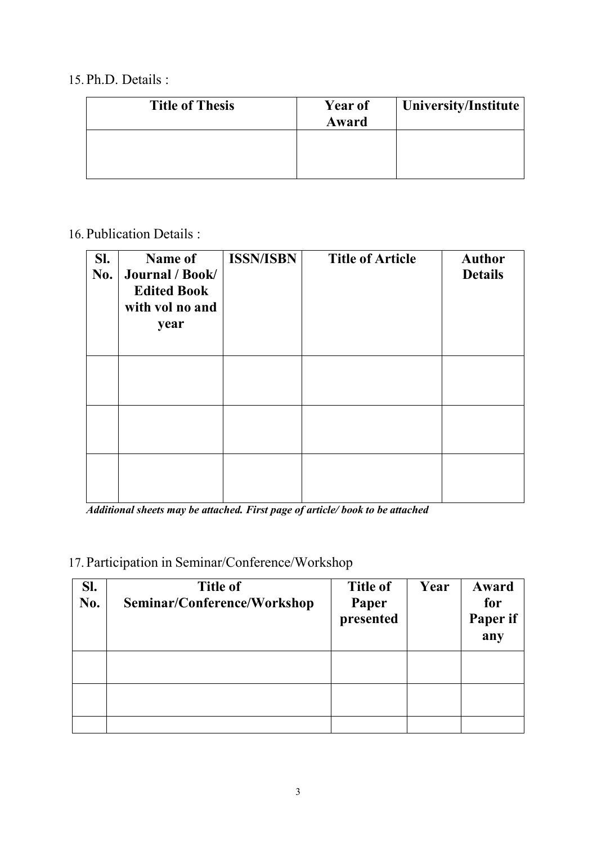### 15. Ph.D. Details :

| <b>Title of Thesis</b> | <b>Year of</b><br>Award | University/Institute |
|------------------------|-------------------------|----------------------|
|                        |                         |                      |

#### 16. Publication Details :

| Sl.<br>No. | Name of<br>Journal / Book/<br><b>Edited Book</b><br>with vol no and<br>year | <b>ISSN/ISBN</b> | <b>Title of Article</b> | <b>Author</b><br><b>Details</b> |
|------------|-----------------------------------------------------------------------------|------------------|-------------------------|---------------------------------|
|            |                                                                             |                  |                         |                                 |
|            |                                                                             |                  |                         |                                 |
|            |                                                                             |                  |                         |                                 |

*Additional sheets may be attached. First page of article/ book to be attached* 

# 17. Participation in Seminar/Conference/Workshop

| SI.<br>No. | <b>Title of</b><br>Seminar/Conference/Workshop | <b>Title of</b><br>Paper<br>presented | Year | Award<br>for<br>Paper if<br>any |
|------------|------------------------------------------------|---------------------------------------|------|---------------------------------|
|            |                                                |                                       |      |                                 |
|            |                                                |                                       |      |                                 |
|            |                                                |                                       |      |                                 |